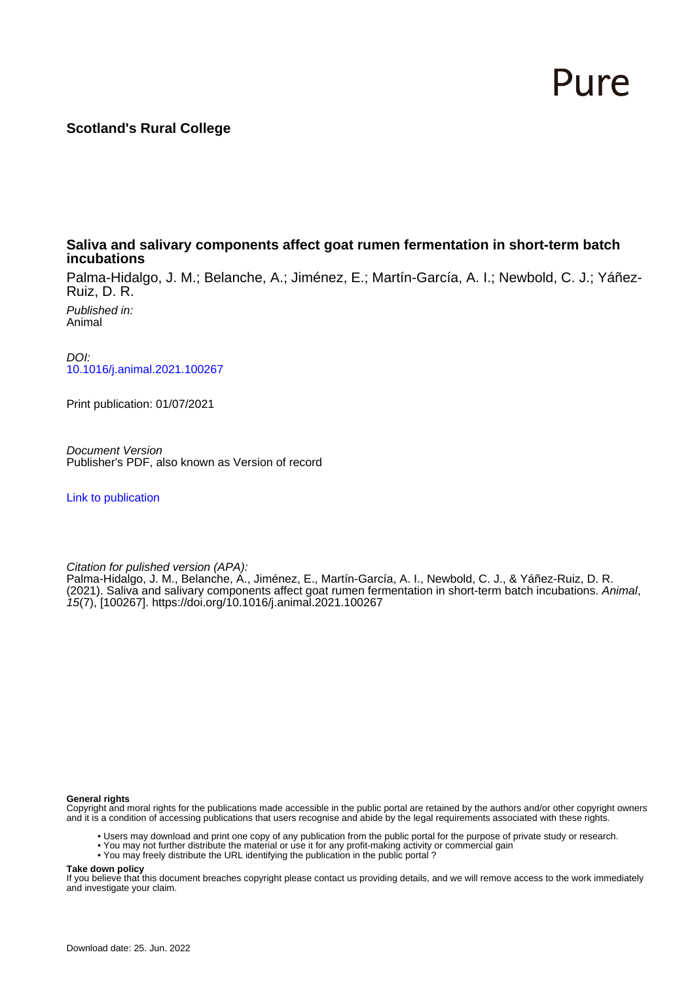# Pure

## **Scotland's Rural College**

### **Saliva and salivary components affect goat rumen fermentation in short-term batch incubations**

Palma-Hidalgo, J. M.; Belanche, A.; Jiménez, E.; Martín-García, A. I.; Newbold, C. J.; Yáñez-Ruiz, D. R.

Published in: Animal

DOI: [10.1016/j.animal.2021.100267](https://doi.org/10.1016/j.animal.2021.100267)

Print publication: 01/07/2021

Document Version Publisher's PDF, also known as Version of record

[Link to publication](https://pure.sruc.ac.uk/en/publications/39f57fd9-1574-4556-9ca4-95b8f568b56d)

Citation for pulished version (APA):

Palma-Hidalgo, J. M., Belanche, A., Jiménez, E., Martín-García, A. I., Newbold, C. J., & Yáñez-Ruiz, D. R. (2021). Saliva and salivary components affect goat rumen fermentation in short-term batch incubations. Animal, 15(7), [100267].<https://doi.org/10.1016/j.animal.2021.100267>

#### **General rights**

Copyright and moral rights for the publications made accessible in the public portal are retained by the authors and/or other copyright owners and it is a condition of accessing publications that users recognise and abide by the legal requirements associated with these rights.

- Users may download and print one copy of any publication from the public portal for the purpose of private study or research.
- You may not further distribute the material or use it for any profit-making activity or commercial gain
- You may freely distribute the URL identifying the publication in the public portal ?

#### **Take down policy**

If you believe that this document breaches copyright please contact us providing details, and we will remove access to the work immediately and investigate your claim.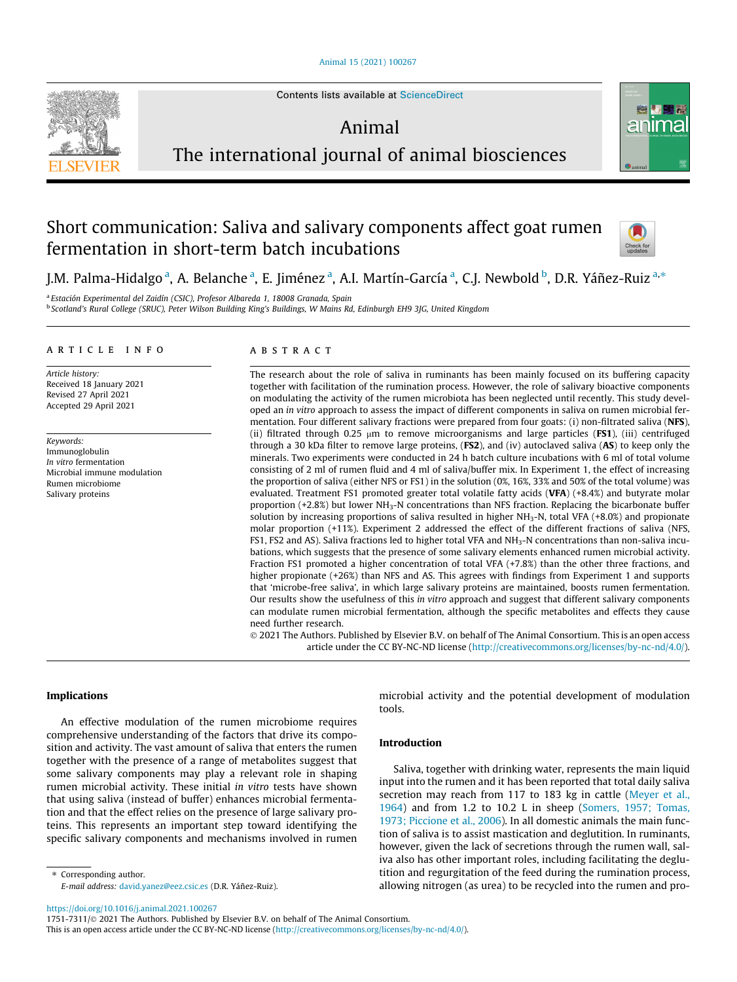

Contents lists available at [ScienceDirect](http://www.sciencedirect.com/science/journal/17517311)

# Animal



# The international journal of animal biosciences

# Short communication: Saliva and salivary components affect goat rumen fermentation in short-term batch incubations



J.M. Palma-Hidalgo <sup>a</sup>, A. Belanche <sup>a</sup>, E. Jiménez <sup>a</sup>, A.I. Martín-García <sup>a</sup>, C.J. Newbold <sup>b</sup>, D.R. Yáñez-Ruiz <sup>a,</sup>\*

<sup>a</sup> Estación Experimental del Zaidín (CSIC), Profesor Albareda 1, 18008 Granada, Spain <sup>b</sup> Scotland's Rural College (SRUC), Peter Wilson Building King's Buildings, W Mains Rd, Edinburgh EH9 3JG, United Kingdom

#### article info

Article history: Received 18 January 2021 Revised 27 April 2021 Accepted 29 April 2021

Keywords: Immunoglobulin In vitro fermentation Microbial immune modulation Rumen microbiome Salivary proteins

#### ABSTRACT

The research about the role of saliva in ruminants has been mainly focused on its buffering capacity together with facilitation of the rumination process. However, the role of salivary bioactive components on modulating the activity of the rumen microbiota has been neglected until recently. This study developed an in vitro approach to assess the impact of different components in saliva on rumen microbial fermentation. Four different salivary fractions were prepared from four goats: (i) non-filtrated saliva (NFS), (ii) filtrated through 0.25  $\mu$ m to remove microorganisms and large particles (**FS1**), (iii) centrifuged through a 30 kDa filter to remove large proteins,  $(FS2)$ , and (iv) autoclaved saliva  $(AS)$  to keep only the minerals. Two experiments were conducted in 24 h batch culture incubations with 6 ml of total volume consisting of 2 ml of rumen fluid and 4 ml of saliva/buffer mix. In Experiment 1, the effect of increasing the proportion of saliva (either NFS or FS1) in the solution (0%, 16%, 33% and 50% of the total volume) was evaluated. Treatment FS1 promoted greater total volatile fatty acids (VFA) (+8.4%) and butyrate molar proportion (+2.8%) but lower NH3-N concentrations than NFS fraction. Replacing the bicarbonate buffer solution by increasing proportions of saliva resulted in higher NH<sub>3</sub>-N, total VFA (+8.0%) and propionate molar proportion (+11%). Experiment 2 addressed the effect of the different fractions of saliva (NFS, FS1, FS2 and AS). Saliva fractions led to higher total VFA and  $NH<sub>3</sub>-N$  concentrations than non-saliva incubations, which suggests that the presence of some salivary elements enhanced rumen microbial activity. Fraction FS1 promoted a higher concentration of total VFA (+7.8%) than the other three fractions, and higher propionate (+26%) than NFS and AS. This agrees with findings from Experiment 1 and supports that 'microbe-free saliva', in which large salivary proteins are maintained, boosts rumen fermentation. Our results show the usefulness of this in vitro approach and suggest that different salivary components can modulate rumen microbial fermentation, although the specific metabolites and effects they cause need further research.

 2021 The Authors. Published by Elsevier B.V. on behalf of The Animal Consortium. This is an open access article under the CC BY-NC-ND license (<http://creativecommons.org/licenses/by-nc-nd/4.0/>).

#### Implications

An effective modulation of the rumen microbiome requires comprehensive understanding of the factors that drive its composition and activity. The vast amount of saliva that enters the rumen together with the presence of a range of metabolites suggest that some salivary components may play a relevant role in shaping rumen microbial activity. These initial in vitro tests have shown that using saliva (instead of buffer) enhances microbial fermentation and that the effect relies on the presence of large salivary proteins. This represents an important step toward identifying the specific salivary components and mechanisms involved in rumen

⇑ Corresponding author. E-mail address: [david.yanez@eez.csic.es](mailto:david.yanez@eez.csic.es) (D.R. Yáñez-Ruiz).

microbial activity and the potential development of modulation tools.

#### Introduction

Saliva, together with drinking water, represents the main liquid input into the rumen and it has been reported that total daily saliva secretion may reach from 117 to 183 kg in cattle ([Meyer et al.,](#page-5-0) [1964\)](#page-5-0) and from 1.2 to 10.2 L in sheep [\(Somers, 1957; Tomas,](#page-5-0) [1973; Piccione et al., 2006](#page-5-0)). In all domestic animals the main function of saliva is to assist mastication and deglutition. In ruminants, however, given the lack of secretions through the rumen wall, saliva also has other important roles, including facilitating the deglutition and regurgitation of the feed during the rumination process, allowing nitrogen (as urea) to be recycled into the rumen and pro-

1751-7311/© 2021 The Authors. Published by Elsevier B.V. on behalf of The Animal Consortium.

<https://doi.org/10.1016/j.animal.2021.100267>

This is an open access article under the CC BY-NC-ND license ([http://creativecommons.org/licenses/by-nc-nd/4.0/\)](http://creativecommons.org/licenses/by-nc-nd/4.0/).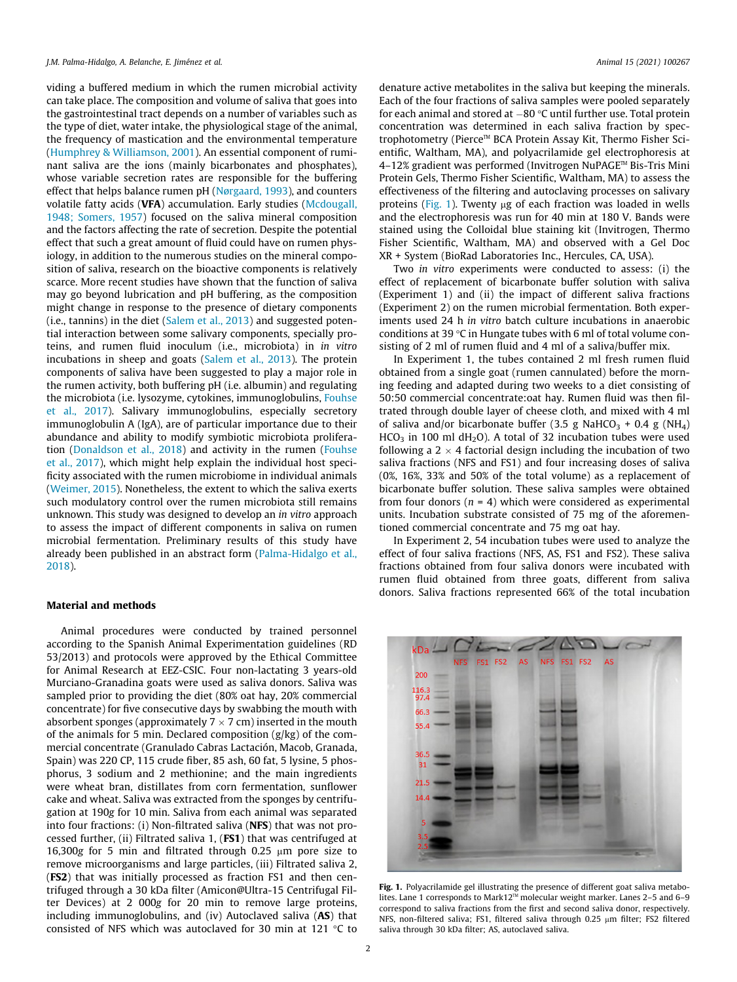<span id="page-2-0"></span>viding a buffered medium in which the rumen microbial activity can take place. The composition and volume of saliva that goes into the gastrointestinal tract depends on a number of variables such as the type of diet, water intake, the physiological stage of the animal, the frequency of mastication and the environmental temperature ([Humphrey & Williamson, 2001\)](#page-5-0). An essential component of ruminant saliva are the ions (mainly bicarbonates and phosphates), whose variable secretion rates are responsible for the buffering effect that helps balance rumen pH ([Nørgaard, 1993\)](#page-5-0), and counters volatile fatty acids (VFA) accumulation. Early studies [\(Mcdougall,](#page-5-0) [1948; Somers, 1957](#page-5-0)) focused on the saliva mineral composition and the factors affecting the rate of secretion. Despite the potential effect that such a great amount of fluid could have on rumen physiology, in addition to the numerous studies on the mineral composition of saliva, research on the bioactive components is relatively scarce. More recent studies have shown that the function of saliva may go beyond lubrication and pH buffering, as the composition might change in response to the presence of dietary components (i.e., tannins) in the diet [\(Salem et al., 2013\)](#page-5-0) and suggested potential interaction between some salivary components, specially proteins, and rumen fluid inoculum (i.e., microbiota) in in vitro incubations in sheep and goats [\(Salem et al., 2013\)](#page-5-0). The protein components of saliva have been suggested to play a major role in the rumen activity, both buffering pH (i.e. albumin) and regulating the microbiota (i.e. lysozyme, cytokines, immunoglobulins, [Fouhse](#page-5-0) [et al., 2017](#page-5-0)). Salivary immunoglobulins, especially secretory immunoglobulin A (IgA), are of particular importance due to their abundance and ability to modify symbiotic microbiota proliferation [\(Donaldson et al., 2018](#page-5-0)) and activity in the rumen [\(Fouhse](#page-5-0) [et al., 2017\)](#page-5-0), which might help explain the individual host specificity associated with the rumen microbiome in individual animals ([Weimer, 2015](#page-5-0)). Nonetheless, the extent to which the saliva exerts such modulatory control over the rumen microbiota still remains unknown. This study was designed to develop an in vitro approach to assess the impact of different components in saliva on rumen microbial fermentation. Preliminary results of this study have already been published in an abstract form [\(Palma-Hidalgo et al.,](#page-5-0) [2018\)](#page-5-0).

#### Material and methods

Animal procedures were conducted by trained personnel according to the Spanish Animal Experimentation guidelines (RD 53/2013) and protocols were approved by the Ethical Committee for Animal Research at EEZ-CSIC. Four non-lactating 3 years-old Murciano-Granadina goats were used as saliva donors. Saliva was sampled prior to providing the diet (80% oat hay, 20% commercial concentrate) for five consecutive days by swabbing the mouth with absorbent sponges (approximately  $7 \times 7$  cm) inserted in the mouth of the animals for 5 min. Declared composition  $(g/kg)$  of the commercial concentrate (Granulado Cabras Lactación, Macob, Granada, Spain) was 220 CP, 115 crude fiber, 85 ash, 60 fat, 5 lysine, 5 phosphorus, 3 sodium and 2 methionine; and the main ingredients were wheat bran, distillates from corn fermentation, sunflower cake and wheat. Saliva was extracted from the sponges by centrifugation at 190g for 10 min. Saliva from each animal was separated into four fractions: (i) Non-filtrated saliva (NFS) that was not processed further, (ii) Filtrated saliva 1, (FS1) that was centrifuged at 16,300g for 5 min and filtrated through 0.25  $\mu$ m pore size to remove microorganisms and large particles, (iii) Filtrated saliva 2, (FS2) that was initially processed as fraction FS1 and then centrifuged through a 30 kDa filter (Amicon@Ultra-15 Centrifugal Filter Devices) at 2 000g for 20 min to remove large proteins, including immunoglobulins, and (iv) Autoclaved saliva (AS) that consisted of NFS which was autoclaved for 30 min at 121  $\degree$ C to

denature active metabolites in the saliva but keeping the minerals. Each of the four fractions of saliva samples were pooled separately for each animal and stored at  $-80$  °C until further use. Total protein concentration was determined in each saliva fraction by spectrophotometry (Pierce™ BCA Protein Assay Kit, Thermo Fisher Scientific, Waltham, MA), and polyacrilamide gel electrophoresis at 4–12% gradient was performed (Invitrogen NuPAGE<sup>™</sup> Bis-Tris Mini Protein Gels, Thermo Fisher Scientific, Waltham, MA) to assess the effectiveness of the filtering and autoclaving processes on salivary proteins (Fig. 1). Twenty  $\mu$ g of each fraction was loaded in wells and the electrophoresis was run for 40 min at 180 V. Bands were stained using the Colloidal blue staining kit (Invitrogen, Thermo Fisher Scientific, Waltham, MA) and observed with a Gel Doc XR + System (BioRad Laboratories Inc., Hercules, CA, USA).

Two in vitro experiments were conducted to assess: (i) the effect of replacement of bicarbonate buffer solution with saliva (Experiment 1) and (ii) the impact of different saliva fractions (Experiment 2) on the rumen microbial fermentation. Both experiments used 24 h in vitro batch culture incubations in anaerobic conditions at 39  $\degree$ C in Hungate tubes with 6 ml of total volume consisting of 2 ml of rumen fluid and 4 ml of a saliva/buffer mix.

In Experiment 1, the tubes contained 2 ml fresh rumen fluid obtained from a single goat (rumen cannulated) before the morning feeding and adapted during two weeks to a diet consisting of 50:50 commercial concentrate:oat hay. Rumen fluid was then filtrated through double layer of cheese cloth, and mixed with 4 ml of saliva and/or bicarbonate buffer (3.5 g NaHCO<sub>3</sub> + 0.4 g (NH<sub>4</sub>)  $HCO<sub>3</sub>$  in 100 ml dH<sub>2</sub>O). A total of 32 incubation tubes were used following a  $2 \times 4$  factorial design including the incubation of two saliva fractions (NFS and FS1) and four increasing doses of saliva (0%, 16%, 33% and 50% of the total volume) as a replacement of bicarbonate buffer solution. These saliva samples were obtained from four donors ( $n = 4$ ) which were considered as experimental units. Incubation substrate consisted of 75 mg of the aforementioned commercial concentrate and 75 mg oat hay.

In Experiment 2, 54 incubation tubes were used to analyze the effect of four saliva fractions (NFS, AS, FS1 and FS2). These saliva fractions obtained from four saliva donors were incubated with rumen fluid obtained from three goats, different from saliva donors. Saliva fractions represented 66% of the total incubation



Fig. 1. Polyacrilamide gel illustrating the presence of different goat saliva metabolites. Lane 1 corresponds to Mark12<sup>TM</sup> molecular weight marker. Lanes 2-5 and 6-9 correspond to saliva fractions from the first and second saliva donor, respectively. NFS, non-filtered saliva; FS1, filtered saliva through 0.25 µm filter; FS2 filtered saliva through 30 kDa filter; AS, autoclaved saliva.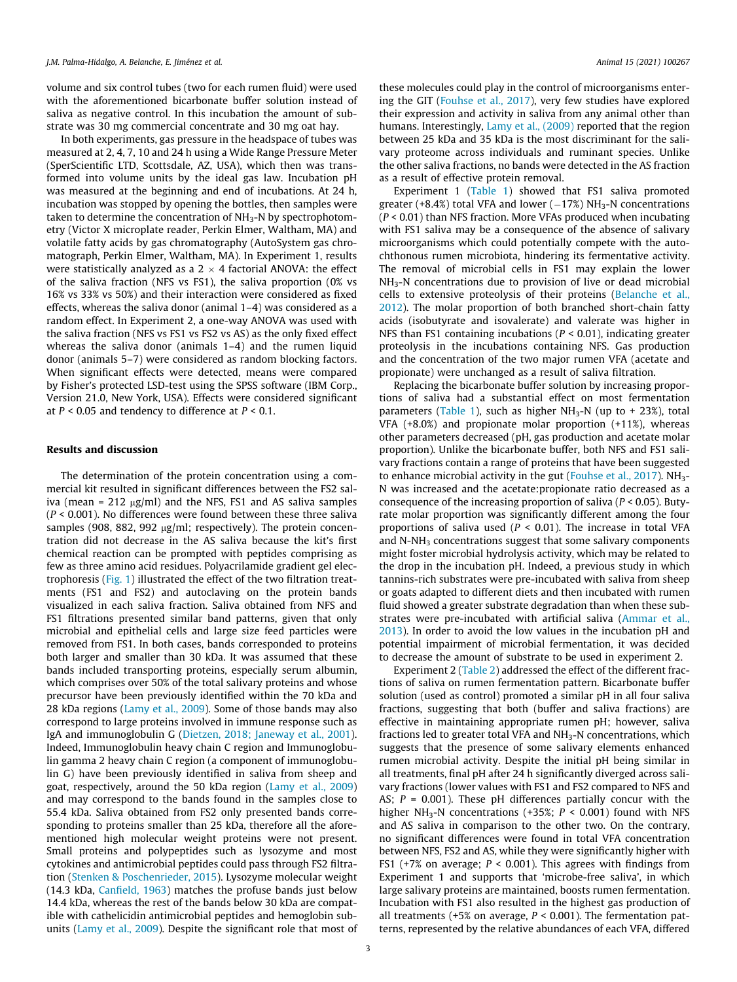volume and six control tubes (two for each rumen fluid) were used with the aforementioned bicarbonate buffer solution instead of saliva as negative control. In this incubation the amount of substrate was 30 mg commercial concentrate and 30 mg oat hay.

In both experiments, gas pressure in the headspace of tubes was measured at 2, 4, 7, 10 and 24 h using a Wide Range Pressure Meter (SperScientific LTD, Scottsdale, AZ, USA), which then was transformed into volume units by the ideal gas law. Incubation pH was measured at the beginning and end of incubations. At 24 h, incubation was stopped by opening the bottles, then samples were taken to determine the concentration of NH<sub>3</sub>-N by spectrophotometry (Victor X microplate reader, Perkin Elmer, Waltham, MA) and volatile fatty acids by gas chromatography (AutoSystem gas chromatograph, Perkin Elmer, Waltham, MA). In Experiment 1, results were statistically analyzed as a  $2 \times 4$  factorial ANOVA: the effect of the saliva fraction (NFS vs FS1), the saliva proportion (0% vs 16% vs 33% vs 50%) and their interaction were considered as fixed effects, whereas the saliva donor (animal 1–4) was considered as a random effect. In Experiment 2, a one-way ANOVA was used with the saliva fraction (NFS vs FS1 vs FS2 vs AS) as the only fixed effect whereas the saliva donor (animals 1–4) and the rumen liquid donor (animals 5–7) were considered as random blocking factors. When significant effects were detected, means were compared by Fisher's protected LSD-test using the SPSS software (IBM Corp., Version 21.0, New York, USA). Effects were considered significant at  $P < 0.05$  and tendency to difference at  $P < 0.1$ .

#### Results and discussion

The determination of the protein concentration using a commercial kit resulted in significant differences between the FS2 saliva (mean =  $212 \mu g/ml$ ) and the NFS, FS1 and AS saliva samples  $(P < 0.001)$ . No differences were found between these three saliva samples (908, 882, 992  $\mu$ g/ml; respectively). The protein concentration did not decrease in the AS saliva because the kit's first chemical reaction can be prompted with peptides comprising as few as three amino acid residues. Polyacrilamide gradient gel electrophoresis ([Fig. 1\)](#page-2-0) illustrated the effect of the two filtration treatments (FS1 and FS2) and autoclaving on the protein bands visualized in each saliva fraction. Saliva obtained from NFS and FS1 filtrations presented similar band patterns, given that only microbial and epithelial cells and large size feed particles were removed from FS1. In both cases, bands corresponded to proteins both larger and smaller than 30 kDa. It was assumed that these bands included transporting proteins, especially serum albumin, which comprises over 50% of the total salivary proteins and whose precursor have been previously identified within the 70 kDa and 28 kDa regions [\(Lamy et al., 2009\)](#page-5-0). Some of those bands may also correspond to large proteins involved in immune response such as IgA and immunoglobulin G ([Dietzen, 2018; Janeway et al., 2001\)](#page-5-0). Indeed, Immunoglobulin heavy chain C region and Immunoglobulin gamma 2 heavy chain C region (a component of immunoglobulin G) have been previously identified in saliva from sheep and goat, respectively, around the 50 kDa region ([Lamy et al., 2009\)](#page-5-0) and may correspond to the bands found in the samples close to 55.4 kDa. Saliva obtained from FS2 only presented bands corresponding to proteins smaller than 25 kDa, therefore all the aforementioned high molecular weight proteins were not present. Small proteins and polypeptides such as lysozyme and most cytokines and antimicrobial peptides could pass through FS2 filtration [\(Stenken & Poschenrieder, 2015](#page-5-0)). Lysozyme molecular weight (14.3 kDa, [Canfield, 1963\)](#page-5-0) matches the profuse bands just below 14.4 kDa, whereas the rest of the bands below 30 kDa are compatible with cathelicidin antimicrobial peptides and hemoglobin subunits ([Lamy et al., 2009](#page-5-0)). Despite the significant role that most of these molecules could play in the control of microorganisms entering the GIT [\(Fouhse et al., 2017\)](#page-5-0), very few studies have explored their expression and activity in saliva from any animal other than humans. Interestingly, [Lamy et al., \(2009\)](#page-5-0) reported that the region between 25 kDa and 35 kDa is the most discriminant for the salivary proteome across individuals and ruminant species. Unlike the other saliva fractions, no bands were detected in the AS fraction as a result of effective protein removal.

Experiment 1 ([Table 1](#page-4-0)) showed that FS1 saliva promoted greater (+8.4%) total VFA and lower ( $-17%$ ) NH<sub>3</sub>-N concentrations  $(P < 0.01)$  than NFS fraction. More VFAs produced when incubating with FS1 saliva may be a consequence of the absence of salivary microorganisms which could potentially compete with the autochthonous rumen microbiota, hindering its fermentative activity. The removal of microbial cells in FS1 may explain the lower NH<sub>3</sub>-N concentrations due to provision of live or dead microbial cells to extensive proteolysis of their proteins [\(Belanche et al.,](#page-5-0) [2012\)](#page-5-0). The molar proportion of both branched short-chain fatty acids (isobutyrate and isovalerate) and valerate was higher in NFS than FS1 containing incubations ( $P < 0.01$ ), indicating greater proteolysis in the incubations containing NFS. Gas production and the concentration of the two major rumen VFA (acetate and propionate) were unchanged as a result of saliva filtration.

Replacing the bicarbonate buffer solution by increasing proportions of saliva had a substantial effect on most fermentation parameters ([Table 1\)](#page-4-0), such as higher  $NH<sub>3</sub>-N$  (up to + 23%), total VFA (+8.0%) and propionate molar proportion (+11%), whereas other parameters decreased (pH, gas production and acetate molar proportion). Unlike the bicarbonate buffer, both NFS and FS1 salivary fractions contain a range of proteins that have been suggested to enhance microbial activity in the gut (Fouhse et al.,  $2017$ ). NH<sub>3</sub>-N was increased and the acetate:propionate ratio decreased as a consequence of the increasing proportion of saliva ( $P < 0.05$ ). Butyrate molar proportion was significantly different among the four proportions of saliva used ( $P < 0.01$ ). The increase in total VFA and  $N-NH<sub>3</sub>$  concentrations suggest that some salivary components might foster microbial hydrolysis activity, which may be related to the drop in the incubation pH. Indeed, a previous study in which tannins-rich substrates were pre-incubated with saliva from sheep or goats adapted to different diets and then incubated with rumen fluid showed a greater substrate degradation than when these substrates were pre-incubated with artificial saliva [\(Ammar et al.,](#page-5-0) [2013\)](#page-5-0). In order to avoid the low values in the incubation pH and potential impairment of microbial fermentation, it was decided to decrease the amount of substrate to be used in experiment 2.

Experiment 2 ([Table 2\)](#page-4-0) addressed the effect of the different fractions of saliva on rumen fermentation pattern. Bicarbonate buffer solution (used as control) promoted a similar pH in all four saliva fractions, suggesting that both (buffer and saliva fractions) are effective in maintaining appropriate rumen pH; however, saliva fractions led to greater total VFA and  $NH<sub>3</sub>$ -N concentrations, which suggests that the presence of some salivary elements enhanced rumen microbial activity. Despite the initial pH being similar in all treatments, final pH after 24 h significantly diverged across salivary fractions (lower values with FS1 and FS2 compared to NFS and AS;  $P = 0.001$ ). These pH differences partially concur with the higher NH<sub>3</sub>-N concentrations (+35%;  $P < 0.001$ ) found with NFS and AS saliva in comparison to the other two. On the contrary, no significant differences were found in total VFA concentration between NFS, FS2 and AS, while they were significantly higher with FS1 (+7% on average;  $P < 0.001$ ). This agrees with findings from Experiment 1 and supports that 'microbe-free saliva', in which large salivary proteins are maintained, boosts rumen fermentation. Incubation with FS1 also resulted in the highest gas production of all treatments (+5% on average,  $P < 0.001$ ). The fermentation patterns, represented by the relative abundances of each VFA, differed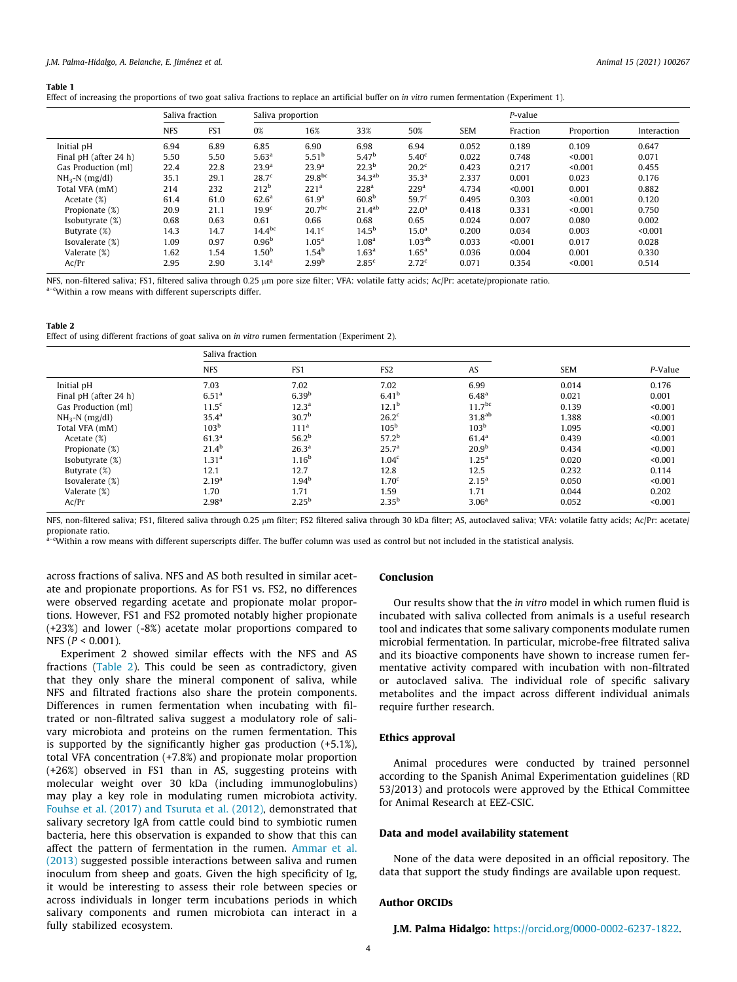#### <span id="page-4-0"></span>Table 1

Effect of increasing the proportions of two goat saliva fractions to replace an artificial buffer on in vitro rumen fermentation (Experiment 1).

|                       | Saliva fraction |                 | Saliva proportion |                     |                    |                   |            | P-value  |            |             |
|-----------------------|-----------------|-----------------|-------------------|---------------------|--------------------|-------------------|------------|----------|------------|-------------|
|                       | <b>NFS</b>      | FS <sub>1</sub> | 0%                | 16%                 | 33%                | 50%               | <b>SEM</b> | Fraction | Proportion | Interaction |
| Initial pH            | 6.94            | 6.89            | 6.85              | 6.90                | 6.98               | 6.94              | 0.052      | 0.189    | 0.109      | 0.647       |
| Final pH (after 24 h) | 5.50            | 5.50            | 5.63 <sup>a</sup> | 5.51 <sup>b</sup>   | 5.47 <sup>b</sup>  | 5.40 <sup>c</sup> | 0.022      | 0.748    | < 0.001    | 0.071       |
| Gas Production (ml)   | 22.4            | 22.8            | 23.9 <sup>a</sup> | 23.9 <sup>a</sup>   | $22.3^{b}$         | $20.2^{\circ}$    | 0.423      | 0.217    | < 0.001    | 0.455       |
| $NH_3-N$ (mg/dl)      | 35.1            | 29.1            | 28.7 <sup>c</sup> | 29.8 <sup>bc</sup>  | 34.3 <sup>ab</sup> | 35.3 <sup>a</sup> | 2.337      | 0.001    | 0.023      | 0.176       |
| Total VFA (mM)        | 214             | 232             | $212^b$           | 221 <sup>a</sup>    | 228 <sup>a</sup>   | 229 <sup>a</sup>  | 4.734      | < 0.001  | 0.001      | 0.882       |
| Acetate (%)           | 61.4            | 61.0            | 62.6 <sup>a</sup> | 61.9 <sup>a</sup>   | 60.8 <sup>b</sup>  | 59.7 <sup>c</sup> | 0.495      | 0.303    | < 0.001    | 0.120       |
| Propionate (%)        | 20.9            | 21.1            | 19.9 <sup>c</sup> | 20.7 <sup>bc</sup>  | 21.4 <sup>ab</sup> | $22.0^{\rm a}$    | 0.418      | 0.331    | < 0.001    | 0.750       |
| Isobutyrate $(\%)$    | 0.68            | 0.63            | 0.61              | 0.66                | 0.68               | 0.65              | 0.024      | 0.007    | 0.080      | 0.002       |
| Butyrate (%)          | 14.3            | 14.7            | $14.4^{bc}$       | 14.1 <sup>c</sup>   | $14.5^{b}$         | 15.0 <sup>a</sup> | 0.200      | 0.034    | 0.003      | < 0.001     |
| Isovalerate (%)       | 1.09            | 0.97            | 0.96 <sup>b</sup> | 1.05 <sup>a</sup>   | 1.08 <sup>a</sup>  | $1.03^{ab}$       | 0.033      | < 0.001  | 0.017      | 0.028       |
| Valerate (%)          | 1.62            | 1.54            | 1.50 <sup>b</sup> | $1.54^{\mathrm{b}}$ | 1.63 <sup>a</sup>  | $1.65^{\rm a}$    | 0.036      | 0.004    | 0.001      | 0.330       |
| Ac/Pr                 | 2.95            | 2.90            | 3.14 <sup>a</sup> | 2.99 <sup>b</sup>   | 2.85 <sup>c</sup>  | 2.72 <sup>c</sup> | 0.071      | 0.354    | < 0.001    | 0.514       |

NFS, non-filtered saliva; FS1, filtered saliva through 0.25 µm pore size filter; VFA: volatile fatty acids; Ac/Pr: acetate/propionate ratio.

a-cWithin a row means with different superscripts differ.

#### Table 2

Effect of using different fractions of goat saliva on in vitro rumen fermentation (Experiment 2).

|                       | Saliva fraction   |                   |                   |                    |            |         |
|-----------------------|-------------------|-------------------|-------------------|--------------------|------------|---------|
|                       | <b>NFS</b>        | FS1               | FS <sub>2</sub>   | AS                 | <b>SEM</b> | P-Value |
| Initial pH            | 7.03              | 7.02              | 7.02              | 6.99               | 0.014      | 0.176   |
| Final pH (after 24 h) | 6.51 <sup>a</sup> | 6.39 <sup>b</sup> | 6.41 <sup>b</sup> | 6.48 <sup>a</sup>  | 0.021      | 0.001   |
| Gas Production (ml)   | 11.5 <sup>c</sup> | 12.3 <sup>a</sup> | $12.1^{\rm b}$    | 11.7 <sup>bc</sup> | 0.139      | < 0.001 |
| $NH_3-N$ (mg/dl)      | 35.4 <sup>a</sup> | 30.7 <sup>b</sup> | 26.2 <sup>c</sup> | 31.8 <sup>ab</sup> | 1.388      | < 0.001 |
| Total VFA (mM)        | 103 <sup>b</sup>  | 111 <sup>a</sup>  | 105 <sup>b</sup>  | 103 <sup>b</sup>   | 1.095      | < 0.001 |
| Acetate (%)           | 61.3 <sup>a</sup> | 56.2 <sup>b</sup> | 57.2 <sup>b</sup> | 61.4 <sup>a</sup>  | 0.439      | < 0.001 |
| Propionate (%)        | $21.4^{b}$        | 26.3 <sup>a</sup> | 25.7 <sup>a</sup> | 20.9 <sup>b</sup>  | 0.434      | < 0.001 |
| Isobutyrate (%)       | 1.31 <sup>a</sup> | 1.16 <sup>b</sup> | 1.04 <sup>c</sup> | 1.25 <sup>a</sup>  | 0.020      | < 0.001 |
| Butyrate (%)          | 12.1              | 12.7              | 12.8              | 12.5               | 0.232      | 0.114   |
| Isovalerate (%)       | 2.19 <sup>a</sup> | 1.94 <sup>b</sup> | 1.70 <sup>c</sup> | 2.15 <sup>a</sup>  | 0.050      | < 0.001 |
| Valerate (%)          | 1.70              | 1.71              | 1.59              | 1.71               | 0.044      | 0.202   |
| Ac/Pr                 | 2.98 <sup>a</sup> | $2.25^{b}$        | 2.35 <sup>b</sup> | 3.06 <sup>a</sup>  | 0.052      | < 0.001 |

NFS, non-filtered saliva; FS1, filtered saliva through 0.25 µm filter; FS2 filtered saliva through 30 kDa filter; AS, autoclaved saliva; VFA: volatile fatty acids; Ac/Pr: acetate/ propionate ratio.

a–cWithin a row means with different superscripts differ. The buffer column was used as control but not included in the statistical analysis.

across fractions of saliva. NFS and AS both resulted in similar acetate and propionate proportions. As for FS1 vs. FS2, no differences were observed regarding acetate and propionate molar proportions. However, FS1 and FS2 promoted notably higher propionate (+23%) and lower (-8%) acetate molar proportions compared to NFS (P < 0.001).

Experiment 2 showed similar effects with the NFS and AS fractions (Table 2). This could be seen as contradictory, given that they only share the mineral component of saliva, while NFS and filtrated fractions also share the protein components. Differences in rumen fermentation when incubating with filtrated or non-filtrated saliva suggest a modulatory role of salivary microbiota and proteins on the rumen fermentation. This is supported by the significantly higher gas production (+5.1%), total VFA concentration (+7.8%) and propionate molar proportion (+26%) observed in FS1 than in AS, suggesting proteins with molecular weight over 30 kDa (including immunoglobulins) may play a key role in modulating rumen microbiota activity. [Fouhse et al. \(2017\) and Tsuruta et al. \(2012\),](#page-5-0) demonstrated that salivary secretory IgA from cattle could bind to symbiotic rumen bacteria, here this observation is expanded to show that this can affect the pattern of fermentation in the rumen. [Ammar et al.](#page-5-0) [\(2013\)](#page-5-0) suggested possible interactions between saliva and rumen inoculum from sheep and goats. Given the high specificity of Ig, it would be interesting to assess their role between species or across individuals in longer term incubations periods in which salivary components and rumen microbiota can interact in a fully stabilized ecosystem.

#### Conclusion

Our results show that the in vitro model in which rumen fluid is incubated with saliva collected from animals is a useful research tool and indicates that some salivary components modulate rumen microbial fermentation. In particular, microbe-free filtrated saliva and its bioactive components have shown to increase rumen fermentative activity compared with incubation with non-filtrated or autoclaved saliva. The individual role of specific salivary metabolites and the impact across different individual animals require further research.

#### Ethics approval

Animal procedures were conducted by trained personnel according to the Spanish Animal Experimentation guidelines (RD 53/2013) and protocols were approved by the Ethical Committee for Animal Research at EEZ-CSIC.

#### Data and model availability statement

None of the data were deposited in an official repository. The data that support the study findings are available upon request.

#### Author ORCIDs

J.M. Palma Hidalgo: [https://orcid.org/0000-0002-6237-1822.](https://orcid.org/0000-0002-6237-1822)